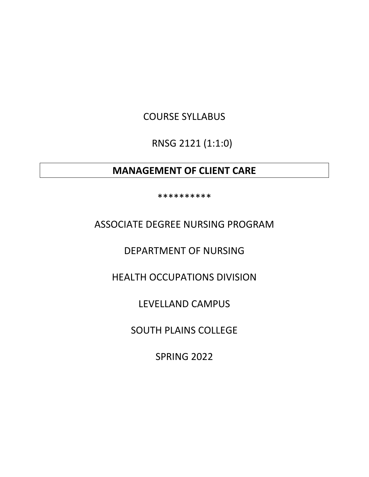# COURSE SYLLABUS

RNSG 2121 (1:1:0)

# **MANAGEMENT OF CLIENT CARE**

\*\*\*\*\*\*\*\*\*\*

ASSOCIATE DEGREE NURSING PROGRAM

DEPARTMENT OF NURSING

HEALTH OCCUPATIONS DIVISION

LEVELLAND CAMPUS

SOUTH PLAINS COLLEGE

SPRING 2022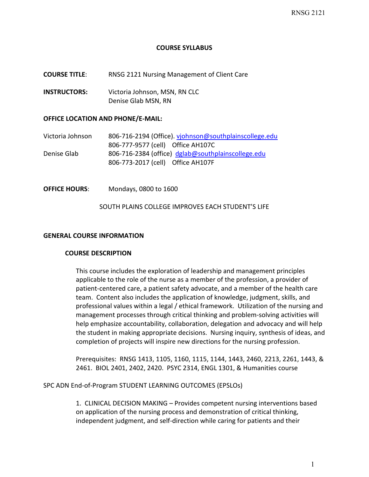### **COURSE SYLLABUS**

**COURSE TITLE**: RNSG 2121 Nursing Management of Client Care

**INSTRUCTORS:** Victoria Johnson, MSN, RN CLC Denise Glab MSN, RN

#### **OFFICE LOCATION AND PHONE/E-MAIL:**

Victoria Johnson 806-716-2194 (Office). [vjohnson@southplainscollege.edu](mailto:vjohnson@southplainscollege.edu) 806-777-9577 (cell) Office AH107C Denise Glab 806-716-2384 (office) [dglab@southplainscollege.edu](mailto:dglab@southplainscollege.edu) 806-773-2017 (cell) Office AH107F

**OFFICE HOURS**: Mondays, 0800 to 1600

#### SOUTH PLAINS COLLEGE IMPROVES EACH STUDENT'S LIFE

### **GENERAL COURSE INFORMATION**

#### **COURSE DESCRIPTION**

This course includes the exploration of leadership and management principles applicable to the role of the nurse as a member of the profession, a provider of patient-centered care, a patient safety advocate, and a member of the health care team. Content also includes the application of knowledge, judgment, skills, and professional values within a legal / ethical framework. Utilization of the nursing and management processes through critical thinking and problem-solving activities will help emphasize accountability, collaboration, delegation and advocacy and will help the student in making appropriate decisions. Nursing inquiry, synthesis of ideas, and completion of projects will inspire new directions for the nursing profession.

Prerequisites: RNSG 1413, 1105, 1160, 1115, 1144, 1443, 2460, 2213, 2261, 1443, & 2461. BIOL 2401, 2402, 2420. PSYC 2314, ENGL 1301, & Humanities course

#### SPC ADN End-of-Program STUDENT LEARNING OUTCOMES (EPSLOs)

1. CLINICAL DECISION MAKING – Provides competent nursing interventions based on application of the nursing process and demonstration of critical thinking, independent judgment, and self-direction while caring for patients and their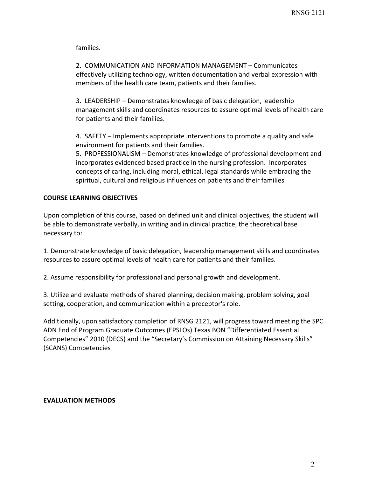families.

2. COMMUNICATION AND INFORMATION MANAGEMENT – Communicates effectively utilizing technology, written documentation and verbal expression with members of the health care team, patients and their families.

3. LEADERSHIP – Demonstrates knowledge of basic delegation, leadership management skills and coordinates resources to assure optimal levels of health care for patients and their families.

4. SAFETY – Implements appropriate interventions to promote a quality and safe environment for patients and their families.

5. PROFESSIONALISM – Demonstrates knowledge of professional development and incorporates evidenced based practice in the nursing profession. Incorporates concepts of caring, including moral, ethical, legal standards while embracing the spiritual, cultural and religious influences on patients and their families

# **COURSE LEARNING OBJECTIVES**

Upon completion of this course, based on defined unit and clinical objectives, the student will be able to demonstrate verbally, in writing and in clinical practice, the theoretical base necessary to:

1. Demonstrate knowledge of basic delegation, leadership management skills and coordinates resources to assure optimal levels of health care for patients and their families.

2. Assume responsibility for professional and personal growth and development.

3. Utilize and evaluate methods of shared planning, decision making, problem solving, goal setting, cooperation, and communication within a preceptor's role.

Additionally, upon satisfactory completion of RNSG 2121, will progress toward meeting the SPC ADN End of Program Graduate Outcomes (EPSLOs) Texas BON "Differentiated Essential Competencies" 2010 (DECS) and the "Secretary's Commission on Attaining Necessary Skills" (SCANS) Competencies

## **EVALUATION METHODS**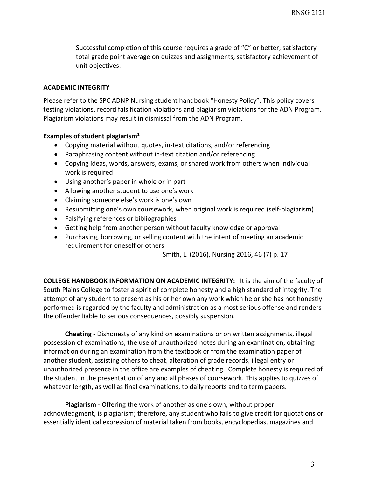Successful completion of this course requires a grade of "C" or better; satisfactory total grade point average on quizzes and assignments, satisfactory achievement of unit objectives.

# **ACADEMIC INTEGRITY**

Please refer to the SPC ADNP Nursing student handbook "Honesty Policy". This policy covers testing violations, record falsification violations and plagiarism violations for the ADN Program. Plagiarism violations may result in dismissal from the ADN Program.

# **Examples of student plagiarism1**

- Copying material without quotes, in-text citations, and/or referencing
- Paraphrasing content without in-text citation and/or referencing
- Copying ideas, words, answers, exams, or shared work from others when individual work is required
- Using another's paper in whole or in part
- Allowing another student to use one's work
- Claiming someone else's work is one's own
- Resubmitting one's own coursework, when original work is required (self-plagiarism)
- Falsifying references or bibliographies
- Getting help from another person without faculty knowledge or approval
- Purchasing, borrowing, or selling content with the intent of meeting an academic requirement for oneself or others

Smith, L. (2016), Nursing 2016, 46 (7) p. 17

**COLLEGE HANDBOOK INFORMATION ON ACADEMIC INTEGRITY:** It is the aim of the faculty of South Plains College to foster a spirit of complete honesty and a high standard of integrity. The attempt of any student to present as his or her own any work which he or she has not honestly performed is regarded by the faculty and administration as a most serious offense and renders the offender liable to serious consequences, possibly suspension.

**Cheating** - Dishonesty of any kind on examinations or on written assignments, illegal possession of examinations, the use of unauthorized notes during an examination, obtaining information during an examination from the textbook or from the examination paper of another student, assisting others to cheat, alteration of grade records, illegal entry or unauthorized presence in the office are examples of cheating. Complete honesty is required of the student in the presentation of any and all phases of coursework. This applies to quizzes of whatever length, as well as final examinations, to daily reports and to term papers.

**Plagiarism** - Offering the work of another as one's own, without proper acknowledgment, is plagiarism; therefore, any student who fails to give credit for quotations or essentially identical expression of material taken from books, encyclopedias, magazines and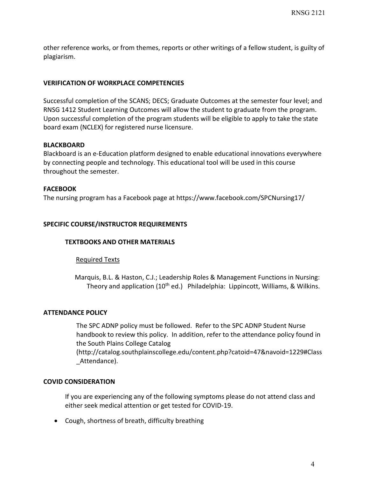other reference works, or from themes, reports or other writings of a fellow student, is guilty of plagiarism.

# **VERIFICATION OF WORKPLACE COMPETENCIES**

Successful completion of the SCANS; DECS; Graduate Outcomes at the semester four level; and RNSG 1412 Student Learning Outcomes will allow the student to graduate from the program. Upon successful completion of the program students will be eligible to apply to take the state board exam (NCLEX) for registered nurse licensure.

### **BLACKBOARD**

Blackboard is an e-Education platform designed to enable educational innovations everywhere by connecting people and technology. This educational tool will be used in this course throughout the semester.

## **FACEBOOK**

The nursing program has a Facebook page at https://www.facebook.com/SPCNursing17/

## **SPECIFIC COURSE/INSTRUCTOR REQUIREMENTS**

#### **TEXTBOOKS AND OTHER MATERIALS**

#### Required Texts

 Marquis, B.L. & Haston, C.J.; Leadership Roles & Management Functions in Nursing: Theory and application (10<sup>th</sup> ed.) Philadelphia: Lippincott, Williams, & Wilkins.

#### **ATTENDANCE POLICY**

The SPC ADNP policy must be followed. Refer to the SPC ADNP Student Nurse handbook to review this policy. In addition, refer to the attendance policy found in the South Plains College Catalog

(http://catalog.southplainscollege.edu/content.php?catoid=47&navoid=1229#Class \_Attendance).

#### **COVID CONSIDERATION**

If you are experiencing any of the following symptoms please do not attend class and either seek medical attention or get tested for COVID-19.

• Cough, shortness of breath, difficulty breathing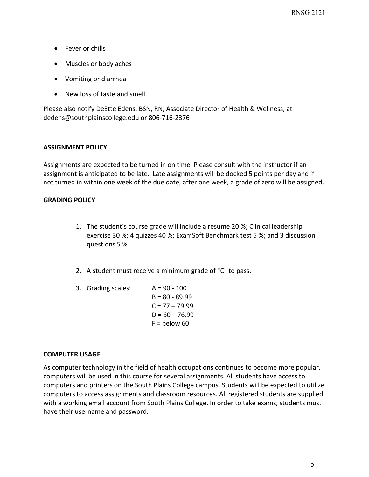- Fever or chills
- Muscles or body aches
- Vomiting or diarrhea
- New loss of taste and smell

Please also notify DeEtte Edens, BSN, RN, Associate Director of Health & Wellness, at dedens@southplainscollege.edu or 806-716-2376

## **ASSIGNMENT POLICY**

Assignments are expected to be turned in on time. Please consult with the instructor if an assignment is anticipated to be late. Late assignments will be docked 5 points per day and if not turned in within one week of the due date, after one week, a grade of zero will be assigned.

## **GRADING POLICY**

- 1. The student's course grade will include a resume 20 %; Clinical leadership exercise 30 %; 4 quizzes 40 %; ExamSoft Benchmark test 5 %; and 3 discussion questions 5 %
- 2. A student must receive a minimum grade of "C" to pass.
- 3. Grading scales: A = 90 100  $B = 80 - 89.99$  $C = 77 - 79.99$  $D = 60 - 76.99$  $F =$  below 60

## **COMPUTER USAGE**

As computer technology in the field of health occupations continues to become more popular, computers will be used in this course for several assignments. All students have access to computers and printers on the South Plains College campus. Students will be expected to utilize computers to access assignments and classroom resources. All registered students are supplied with a working email account from South Plains College. In order to take exams, students must have their username and password.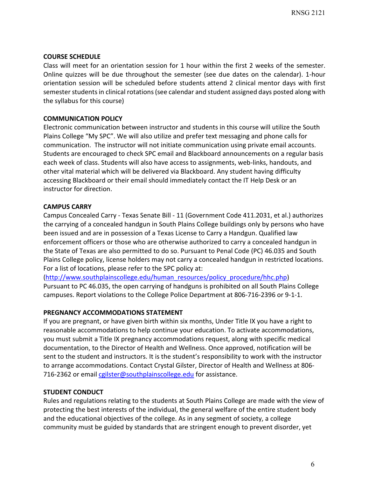## **COURSE SCHEDULE**

Class will meet for an orientation session for 1 hour within the first 2 weeks of the semester. Online quizzes will be due throughout the semester (see due dates on the calendar). 1-hour orientation session will be scheduled before students attend 2 clinical mentor days with first semester students in clinical rotations (see calendar and student assigned days posted along with the syllabus for this course)

# **COMMUNICATION POLICY**

Electronic communication between instructor and students in this course will utilize the South Plains College "My SPC". We will also utilize and prefer text messaging and phone calls for communication. The instructor will not initiate communication using private email accounts. Students are encouraged to check SPC email and Blackboard announcements on a regular basis each week of class. Students will also have access to assignments, web-links, handouts, and other vital material which will be delivered via Blackboard. Any student having difficulty accessing Blackboard or their email should immediately contact the IT Help Desk or an instructor for direction.

# **CAMPUS CARRY**

Campus Concealed Carry - Texas Senate Bill - 11 (Government Code 411.2031, et al.) authorizes the carrying of a concealed handgun in South Plains College buildings only by persons who have been issued and are in possession of a Texas License to Carry a Handgun. Qualified law enforcement officers or those who are otherwise authorized to carry a concealed handgun in the State of Texas are also permitted to do so. Pursuant to Penal Code (PC) 46.035 and South Plains College policy, license holders may not carry a concealed handgun in restricted locations. For a list of locations, please refer to the SPC policy at:

[\(http://www.southplainscollege.edu/human\\_resources/policy\\_procedure/hhc.php\)](http://www.southplainscollege.edu/human_resources/policy_procedure/hhc.php) Pursuant to PC 46.035, the open carrying of handguns is prohibited on all South Plains College campuses. Report violations to the College Police Department at 806-716-2396 or 9-1-1.

## **PREGNANCY ACCOMMODATIONS STATEMENT**

If you are pregnant, or have given birth within six months, Under Title IX you have a right to reasonable accommodations to help continue your education. To activate accommodations, you must submit a Title IX pregnancy accommodations request, along with specific medical documentation, to the Director of Health and Wellness. Once approved, notification will be sent to the student and instructors. It is the student's responsibility to work with the instructor to arrange accommodations. Contact Crystal Gilster, Director of Health and Wellness at 806 716-2362 or email [cgilster@southplainscollege.edu](mailto:cgilster@southplainscollege.edu) for assistance.

## **STUDENT CONDUCT**

Rules and regulations relating to the students at South Plains College are made with the view of protecting the best interests of the individual, the general welfare of the entire student body and the educational objectives of the college. As in any segment of society, a college community must be guided by standards that are stringent enough to prevent disorder, yet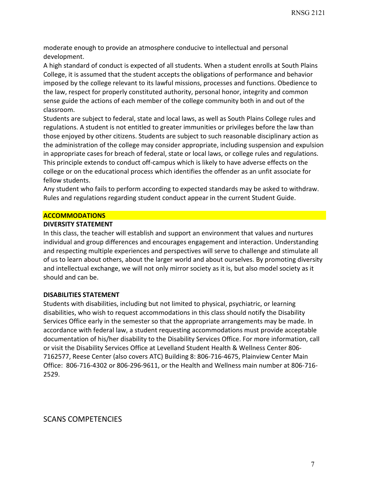moderate enough to provide an atmosphere conducive to intellectual and personal development.

A high standard of conduct is expected of all students. When a student enrolls at South Plains College, it is assumed that the student accepts the obligations of performance and behavior imposed by the college relevant to its lawful missions, processes and functions. Obedience to the law, respect for properly constituted authority, personal honor, integrity and common sense guide the actions of each member of the college community both in and out of the classroom.

Students are subject to federal, state and local laws, as well as South Plains College rules and regulations. A student is not entitled to greater immunities or privileges before the law than those enjoyed by other citizens. Students are subject to such reasonable disciplinary action as the administration of the college may consider appropriate, including suspension and expulsion in appropriate cases for breach of federal, state or local laws, or college rules and regulations. This principle extends to conduct off-campus which is likely to have adverse effects on the college or on the educational process which identifies the offender as an unfit associate for fellow students.

Any student who fails to perform according to expected standards may be asked to withdraw. Rules and regulations regarding student conduct appear in the current Student Guide.

### **ACCOMMODATIONS**

#### **DIVERSITY STATEMENT**

In this class, the teacher will establish and support an environment that values and nurtures individual and group differences and encourages engagement and interaction. Understanding and respecting multiple experiences and perspectives will serve to challenge and stimulate all of us to learn about others, about the larger world and about ourselves. By promoting diversity and intellectual exchange, we will not only mirror society as it is, but also model society as it should and can be.

## **DISABILITIES STATEMENT**

Students with disabilities, including but not limited to physical, psychiatric, or learning disabilities, who wish to request accommodations in this class should notify the Disability Services Office early in the semester so that the appropriate arrangements may be made. In accordance with federal law, a student requesting accommodations must provide acceptable documentation of his/her disability to the Disability Services Office. For more information, call or visit the Disability Services Office at Levelland Student Health & Wellness Center 806- 7162577, Reese Center (also covers ATC) Building 8: 806-716-4675, Plainview Center Main Office: 806-716-4302 or 806-296-9611, or the Health and Wellness main number at 806-716- 2529.

SCANS COMPETENCIES